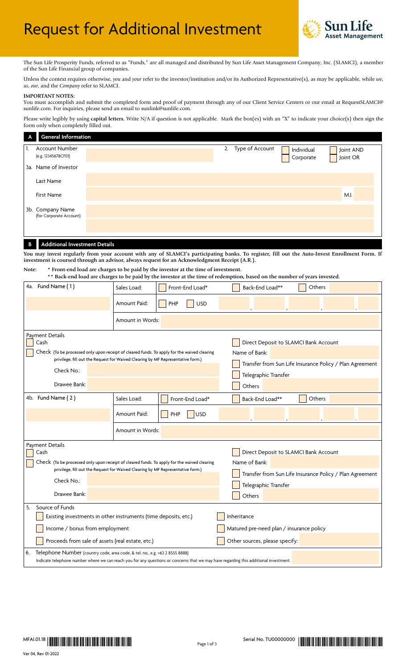# Request for Additional Investment



The Sun Life Prosperity Funds, referred to as "Funds," are all managed and distributed by Sun Life Asset Management Company, Inc. (SLAMCI), a member of the Sun Life Financial group of companies.

Unless the context requires otherwise, *you* and *your* refer to the investor/institution and/or its Authorized Representative(s), as may be applicable, while *we*, *us*, *our*, and the *Company* refer to SLAMCI.

# **IMPORTANT NOTES:**

You must accomplish and submit the completed form and proof of payment through any of our Client Service Centers or our email at RequestSLAMCI@ sunlife.com. For inquiries, please send an email to sunlink@sunlife.com.

Please write legibly by using **capital letters.** Write N/A if question is not applicable. Mark the box(es) with an "X" to indicate your choice(s) then sign the form only when completely filled out.

| $\overline{A}$ | <b>General Information</b>                   |  |                    |                         |                       |
|----------------|----------------------------------------------|--|--------------------|-------------------------|-----------------------|
|                | <b>Account Number</b><br>(e.g. 12345678CF01) |  | 2. Type of Account | Individual<br>Corporate | Joint AND<br>Joint OR |
|                | 3a. Name of Investor                         |  |                    |                         |                       |
|                | Last Name                                    |  |                    |                         |                       |
|                | <b>First Name</b>                            |  |                    |                         | M.I.                  |
|                | 3b. Company Name<br>(for Corporate Account)  |  |                    |                         |                       |
|                |                                              |  |                    |                         |                       |
|                |                                              |  |                    |                         |                       |

## **B Additional Investment Details**

**You may invest regularly from your account with any of SLAMCI's participating banks. To register, fill out the Auto-Invest Enrollment Form. If investment is coursed through an advisor, always request for an Acknowledgment Receipt (A.R.).**

**Note: \* Front-end load are charges to be paid by the investor at the time of investment. \*\* Back-end load are charges to be paid by the investor at the time of redemption, based on the number of years invested.**

| 4a. Fund Name (1)                                                                                                                                                                                                                                                           | Sales Load:      | Front-End Load*                                                                                                                                      | Back-End Load**<br>Others |  |  |  |  |
|-----------------------------------------------------------------------------------------------------------------------------------------------------------------------------------------------------------------------------------------------------------------------------|------------------|------------------------------------------------------------------------------------------------------------------------------------------------------|---------------------------|--|--|--|--|
|                                                                                                                                                                                                                                                                             | Amount Paid:     | <b>USD</b><br><b>PHP</b>                                                                                                                             |                           |  |  |  |  |
|                                                                                                                                                                                                                                                                             | Amount in Words: |                                                                                                                                                      |                           |  |  |  |  |
| <b>Payment Details</b><br>Cash<br>Check (To be processed only upon receipt of cleared funds. To apply for the waived clearing<br>privilege, fill out the Request for Waived Clearing by MF Representative form.)<br>Check No.:                                              |                  | Direct Deposit to SLAMCI Bank Account<br>Name of Bank:<br>Transfer from Sun Life Insurance Policy / Plan Agreement<br>Telegraphic Transfer           |                           |  |  |  |  |
| Drawee Bank:                                                                                                                                                                                                                                                                |                  |                                                                                                                                                      | Others                    |  |  |  |  |
| 4b. Fund Name (2)                                                                                                                                                                                                                                                           | Sales Load:      | Front-End Load*                                                                                                                                      | Back-End Load**<br>Others |  |  |  |  |
|                                                                                                                                                                                                                                                                             | Amount Paid:     | <b>USD</b><br>PHP                                                                                                                                    |                           |  |  |  |  |
|                                                                                                                                                                                                                                                                             | Amount in Words: |                                                                                                                                                      |                           |  |  |  |  |
| <b>Payment Details</b><br>Cash<br>Check (To be processed only upon receipt of cleared funds. To apply for the waived clearing<br>privilege, fill out the Request for Waived Clearing by MF Representative form.)<br>Check No.:<br>Drawee Bank:                              |                  | Direct Deposit to SLAMCI Bank Account<br>Name of Bank:<br>Transfer from Sun Life Insurance Policy / Plan Agreement<br>Telegraphic Transfer<br>Others |                           |  |  |  |  |
| 5.<br>Source of Funds<br>Existing investments in other instruments (time deposits, etc.)<br>Inheritance<br>Income / bonus from employment<br>Matured pre-need plan / insurance policy<br>Proceeds from sale of assets (real estate, etc.)<br>Other sources, please specify: |                  |                                                                                                                                                      |                           |  |  |  |  |
| 6.<br>Telephone Number (country code, area code, & tel. no., e.g. +63 2 8555 8888)<br>Indicate telephone number where we can reach you for any questions or concerns that we may have regarding this additional investment.                                                 |                  |                                                                                                                                                      |                           |  |  |  |  |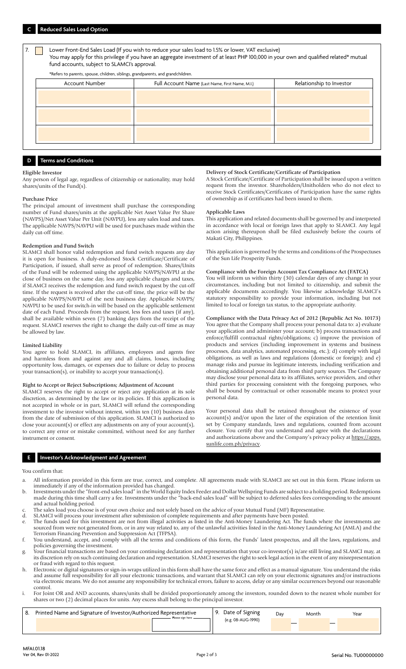Lower Front-End Sales Load (If you wish to reduce your sales load to 1.5% or lower, VAT exclusive) You may apply for this privilege if you have an aggregate investment of at least PHP 100,000 in your own and qualified related\* mutual fund accounts, subject to SLAMCI's approval.

\*Refers to parents, spouse, children, siblings, grandparents, and grandchildren.

| Account Number | Full Account Name (Last Name, First Name, M.I.) | Relationship to Investor |
|----------------|-------------------------------------------------|--------------------------|
|                |                                                 |                          |
|                |                                                 |                          |
|                |                                                 |                          |
|                |                                                 |                          |
|                |                                                 |                          |
|                |                                                 |                          |

# **D Terms and Conditions**

#### **Eligible Investor**

Any person of legal age, regardless of citizenship or nationality, may hold shares/units of the Fund(s).

#### **Purchase Price**

The principal amount of investment shall purchase the corresponding number of Fund shares/units at the applicable Net Asset Value Per Share (NAVPS)/Net Asset Value Per Unit (NAVPU), less any sales load and taxes. The applicable NAVPS/NAVPU will be used for purchases made within the daily cut-off time.

### **Redemption and Fund Switch**

SLAMCI shall honor valid redemption and fund switch requests any day it is open for business. A duly-endorsed Stock Certificate/Certificate of Participation, if issued, shall serve as proof of redemption. Shares/Units of the Fund will be redeemed using the applicable NAVPS/NAVPU at the close of business on the same day, less any applicable charges and taxes, if SLAMCI receives the redemption and fund switch request by the cut-off time. If the request is received after the cut-off time, the price will be the applicable NAVPS/NAVPU of the next business day. Applicable NAVPS/ NAVPU to be used for switch-in will be based on the applicable settlement date of each Fund. Proceeds from the request, less fees and taxes (if any), shall be available within seven (7) banking days from the receipt of the request. SLAMCI reserves the right to change the daily cut-off time as may be allowed by law.

#### **Limited Liability**

You agree to hold SLAMCI, its affiliates, employees and agents free and harmless from and against any and all claims, losses, including opportunity loss, damages, or expenses due to failure or delay to process your transaction(s), or inability to accept your transaction(s).

#### **Right to Accept or Reject Subscriptions; Adjustment of Account**

SLAMCI reserves the right to accept or reject any application at its sole discretion, as determined by the law or its policies. If this application is not accepted in whole or in part, SLAMCI will refund the corresponding investment to the investor without interest, within ten (10) business days from the date of submission of this application. SLAMCI is authorized to close your account(s) or effect any adjustments on any of your account(s), to correct any error or mistake committed, without need for any further instrument or consent.

# **E Investor's Acknowledgment and Agreement**

#### You confirm that:

- a. All information provided in this form are true, correct, and complete. All agreements made with SLAMCI are set out in this form. Please inform us immediately if any of the information provided has changed.
- b. Investments under the "front-end sales load" in the World Equity Index Feeder and Dollar Wellspring Funds are subject to a holding period. Redemptions made during this time shall carry a fee. Investments under the "back-end sales load" will be subject to deferred sales fees corresponding to the amount and actual holding period.
- The sales load you choose is of your own choice and not solely based on the advice of your Mutual Fund (MF) Representative.
- d. SLAMCI will process your investment after submission of complete requirements and after payments have been posted.
- e. The funds used for this investment are not from illegal activities as listed in the Anti-Money Laundering Act. The funds where the investments are sourced from were not generated from, or in any way related to, any of the unlawful activities listed in the Anti-Money Laundering Act (AMLA) and the Terrorism Financing Prevention and Suppression Act (TFPSA).
- f. You understand, accept, and comply with all the terms and conditions of this form, the Funds' latest prospectus, and all the laws, regulations, and policies governing the investment.
- g. Your financial transactions are based on your continuing declaration and representation that your co-investor(s) is/are still living and SLAMCI may, at its discretion rely on such continuing declaration and representation. SLAMCI reserves the right to seek legal action in the event of any misrepresentation or fraud with regard to this request.
- h. Electronic or digital signatures or sign-in-wraps utilized in this form shall have the same force and effect as a manual signature. You understand the risks and assume full responsibility for all your electronic transactions, and warrant that SLAMCI can rely on your electronic signatures and/or instructions via electronic means. We do not assume any responsibility for technical errors, failure to access, delay or any similar occurrences beyond our reasonable control.
- i. For Joint OR and AND accounts, shares/units shall be divided proportionately among the investors, rounded down to the nearest whole number for shares or two (2) decimal places for units. Any excess shall belong to the principal investor.

| 8. | Printed Name and Signature of Investor/Authorized Representative |                    |  | Date of Signing    | Dav | Month | Year |
|----|------------------------------------------------------------------|--------------------|--|--------------------|-----|-------|------|
|    |                                                                  | Please sign here - |  | (e.g. 08-AUG-1990) |     |       |      |
|    |                                                                  |                    |  |                    |     |       |      |
|    |                                                                  |                    |  |                    |     |       |      |

#### **Delivery of Stock Certificate/Certificate of Participation**

A Stock Certificate/Certificate of Participation shall be issued upon a written request from the investor. Shareholders/Unitholders who do not elect to receive Stock Certificates/Certificates of Participation have the same rights of ownership as if certificates had been issued to them.

#### **Applicable Laws**

This application and related documents shall be governed by and interpreted in accordance with local or foreign laws that apply to SLAMCI. Any legal action arising thereupon shall be filed exclusively before the courts of Makati City, Philippines.

This application is governed by the terms and conditions of the Prospectuses of the Sun Life Prosperity Funds.

# **Compliance with the Foreign Account Tax Compliance Act (FATCA)**

You will inform us within thirty (30) calendar days of any change in your circumstances, including but not limited to citizenship, and submit the applicable documents accordingly. You likewise acknowledge SLAMCI's statutory responsibility to provide your information, including but not limited to local or foreign tax status, to the appropriate authority.

**Compliance with the Data Privacy Act of 2012 (Republic Act No. 10173)** You agree that the Company shall process your personal data to: a) evaluate your application and administer your account; b) process transactions and enforce/fulfill contractual rights/obligations; c) improve the provision of products and services (including improvement in systems and business processes, data analytics, automated processing, etc.); d) comply with legal obligations, as well as laws and regulations (domestic or foreign); and e) manage risks and pursue its legitimate interests, including verification and obtaining additional personal data from third party sources. The Company may disclose your personal data to its affiliates, service providers, and other third parties for processing consistent with the foregoing purposes, who shall be bound by contractual or other reasonable means to protect your personal data.

Your personal data shall be retained throughout the existence of your account(s) and/or upon the later of the expiration of the retention limit set by Company standards, laws and regulations, counted from account closure. You certify that you understand and agree with the declarations [and authorizations above and the Company's privacy policy at https://apps.](https://apps. sunlife.com.ph/privacy) sunlife.com.ph/privacy.